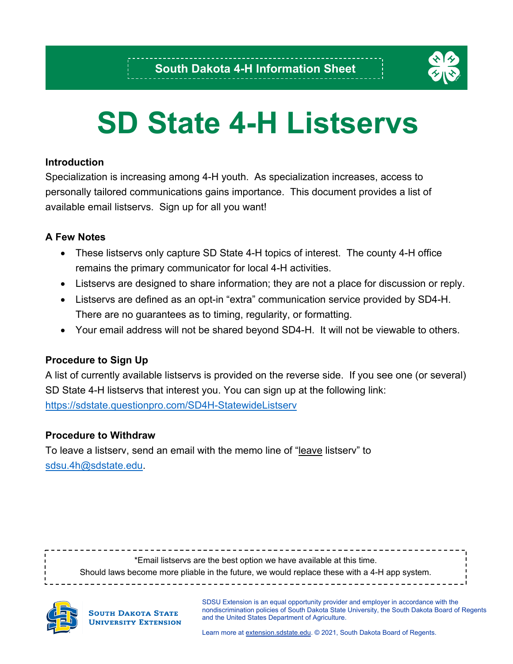

# **SD State 4-H Listservs**

### **Introduction**

Specialization is increasing among 4-H youth. As specialization increases, access to personally tailored communications gains importance. This document provides a list of available email listservs. Sign up for all you want!

### **A Few Notes**

- These listservs only capture SD State 4-H topics of interest. The county 4-H office remains the primary communicator for local 4-H activities.
- Listservs are designed to share information; they are not a place for discussion or reply.
- Listservs are defined as an opt-in "extra" communication service provided by SD4-H. There are no guarantees as to timing, regularity, or formatting.
- Your email address will not be shared beyond SD4-H. It will not be viewable to others.

### **Procedure to Sign Up**

A list of currently available listservs is provided on the reverse side. If you see one (or several) SD State 4-H listservs that interest you. You can sign up at the following link: <https://sdstate.questionpro.com/SD4H-StatewideListserv>

### **Procedure to Withdraw**

To leave a listserv, send an email with the memo line of "leave listserv" to [sdsu.4h@sdstate.edu.](mailto:sdsu.4h@sdstate.edu)

----------------\*Email listservs are the best option we have available at this time. Should laws become more pliable in the future, we would replace these with a 4-H app system.



**SOUTH DAKOTA STATE UNIVERSITY EXTENSION**  SDSU Extension is an equal opportunity provider and employer in accordance with the nondiscrimination policies of South Dakota State University, the South Dakota Board of Regents and the United States Department of Agriculture.

Learn more a[t extension.sdstate.edu.](https://extension.sdstate.edu/) © 2021, South Dakota Board of Regents.